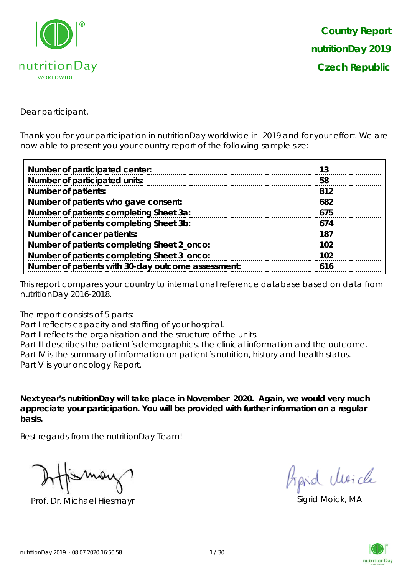

Dear participant,

Thank you for your participation in nutritionDay worldwide in 2019 and for your effort. We are now able to present you your country report of the following sample size:

| Number of participated center:                     | 13  |
|----------------------------------------------------|-----|
| Number of participated units:                      | 58  |
| <b>Number of patients:</b>                         | 812 |
| Number of patients who gave consent:               | 682 |
| Number of patients completing Sheet 3a:            | 675 |
| Number of patients completing Sheet 3b:            | 674 |
| Number of cancer patients:                         | 187 |
| Number of patients completing Sheet 2_onco:        | 102 |
| Number of patients completing Sheet 3_onco:        | 102 |
| Number of patients with 30-day outcome assessment: | 616 |

This report compares your country to international reference database based on data from nutritionDay 2016-2018.

The report consists of 5 parts:

Part I reflects capacity and staffing of your hospital.

Part II reflects the organisation and the structure of the units.

Part III describes the patient's demographics, the clinical information and the outcome. Part IV is the summary of information on patient´s nutrition, history and health status. Part V is your oncology Report.

**Next year's nutritionDay will take place in November 2020. Again, we would very much appreciate your participation. You will be provided with further information on a regular basis.**

Best regards from the nutritionDay-Team!

Prof. Dr. Michael Hiesmayr Sigrid Moick, MA

hard Moich

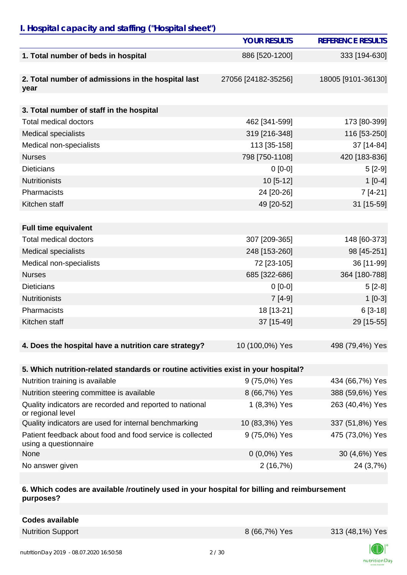## *I. Hospital capacity and staffing ("Hospital sheet")*

|                                                                                    | <b>YOUR RESULTS</b> | <b>REFERENCE RESULTS</b> |
|------------------------------------------------------------------------------------|---------------------|--------------------------|
| 1. Total number of beds in hospital                                                | 886 [520-1200]      | 333 [194-630]            |
| 2. Total number of admissions in the hospital last<br>year                         | 27056 [24182-35256] | 18005 [9101-36130]       |
| 3. Total number of staff in the hospital                                           |                     |                          |
| <b>Total medical doctors</b>                                                       | 462 [341-599]       | 173 [80-399]             |
| <b>Medical specialists</b>                                                         | 319 [216-348]       | 116 [53-250]             |
| Medical non-specialists                                                            | 113 [35-158]        | 37 [14-84]               |
| <b>Nurses</b>                                                                      | 798 [750-1108]      | 420 [183-836]            |
| <b>Dieticians</b>                                                                  | $0[0-0]$            | $5[2-9]$                 |
| <b>Nutritionists</b>                                                               | 10 [5-12]           | $1[0-4]$                 |
| Pharmacists                                                                        | 24 [20-26]          | $7[4-21]$                |
| Kitchen staff                                                                      | 49 [20-52]          | 31 [15-59]               |
|                                                                                    |                     |                          |
| <b>Full time equivalent</b>                                                        |                     |                          |
| <b>Total medical doctors</b>                                                       | 307 [209-365]       | 148 [60-373]             |
| <b>Medical specialists</b>                                                         | 248 [153-260]       | 98 [45-251]              |
| Medical non-specialists                                                            | 72 [23-105]         | 36 [11-99]               |
| <b>Nurses</b>                                                                      | 685 [322-686]       | 364 [180-788]            |
| <b>Dieticians</b>                                                                  | $0[0-0]$            | $5[2-8]$                 |
| <b>Nutritionists</b>                                                               | $7[4-9]$            | $1[0-3]$                 |
| Pharmacists                                                                        | 18 [13-21]          | $6[3-18]$                |
| Kitchen staff                                                                      | 37 [15-49]          | 29 [15-55]               |
| 4. Does the hospital have a nutrition care strategy?                               | 10 (100,0%) Yes     | 498 (79,4%) Yes          |
| 5. Which nutrition-related standards or routine activities exist in your hospital? |                     |                          |
| Nutrition training is available                                                    | 9 (75,0%) Yes       | 434 (66,7%) Yes          |
| Nutrition steering committee is available                                          | 8 (66,7%) Yes       | 388 (59,6%) Yes          |
| Quality indicators are recorded and reported to national<br>or regional level      | 1 (8,3%) Yes        | 263 (40,4%) Yes          |
| Quality indicators are used for internal benchmarking                              | 10 (83,3%) Yes      | 337 (51,8%) Yes          |
| Patient feedback about food and food service is collected<br>using a questionnaire | 9 (75,0%) Yes       | 475 (73,0%) Yes          |
| None                                                                               | $0(0,0\%)$ Yes      | 30 (4,6%) Yes            |
| No answer given                                                                    | 2(16,7%)            | 24 (3,7%)                |

#### **6. Which codes are available /routinely used in your hospital for billing and reimbursement purposes?**

**Codes available**

Nutrition Support 8 (66,7%) Yes 313 (48,1%) Yes



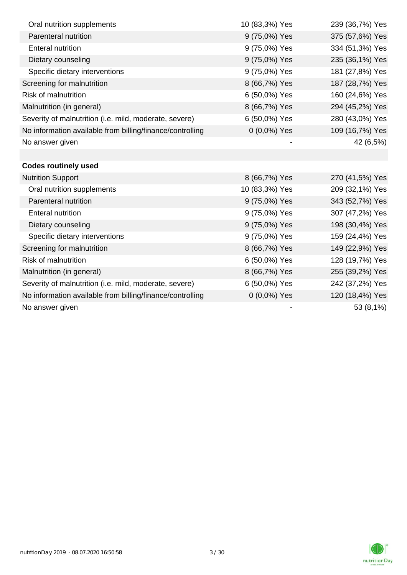| Oral nutrition supplements                                | 10 (83,3%) Yes | 239 (36,7%) Yes |
|-----------------------------------------------------------|----------------|-----------------|
| Parenteral nutrition                                      | 9 (75,0%) Yes  | 375 (57,6%) Yes |
| <b>Enteral nutrition</b>                                  | 9 (75,0%) Yes  | 334 (51,3%) Yes |
| Dietary counseling                                        | 9 (75,0%) Yes  | 235 (36,1%) Yes |
| Specific dietary interventions                            | 9 (75,0%) Yes  | 181 (27,8%) Yes |
| Screening for malnutrition                                | 8 (66,7%) Yes  | 187 (28,7%) Yes |
| <b>Risk of malnutrition</b>                               | 6 (50,0%) Yes  | 160 (24,6%) Yes |
| Malnutrition (in general)                                 | 8 (66,7%) Yes  | 294 (45,2%) Yes |
| Severity of malnutrition (i.e. mild, moderate, severe)    | 6 (50,0%) Yes  | 280 (43,0%) Yes |
| No information available from billing/finance/controlling | $0(0,0\%)$ Yes | 109 (16,7%) Yes |
| No answer given                                           |                | 42 (6,5%)       |
|                                                           |                |                 |
| <b>Codes routinely used</b>                               |                |                 |
| <b>Nutrition Support</b>                                  | 8 (66,7%) Yes  | 270 (41,5%) Yes |
| Oral nutrition supplements                                | 10 (83,3%) Yes | 209 (32,1%) Yes |
| Parenteral nutrition                                      | 9 (75,0%) Yes  | 343 (52,7%) Yes |
| <b>Enteral nutrition</b>                                  | 9 (75,0%) Yes  | 307 (47,2%) Yes |
| Dietary counseling                                        | 9 (75,0%) Yes  | 198 (30,4%) Yes |
| Specific dietary interventions                            | 9 (75,0%) Yes  | 159 (24,4%) Yes |
| Screening for malnutrition                                | 8 (66,7%) Yes  | 149 (22,9%) Yes |
| Risk of malnutrition                                      | 6 (50,0%) Yes  | 128 (19,7%) Yes |
| Malnutrition (in general)                                 | 8 (66,7%) Yes  | 255 (39,2%) Yes |
| Severity of malnutrition (i.e. mild, moderate, severe)    | 6 (50,0%) Yes  | 242 (37,2%) Yes |
| No information available from billing/finance/controlling | $0(0,0\%)$ Yes | 120 (18,4%) Yes |
| No answer given                                           |                | 53 (8,1%)       |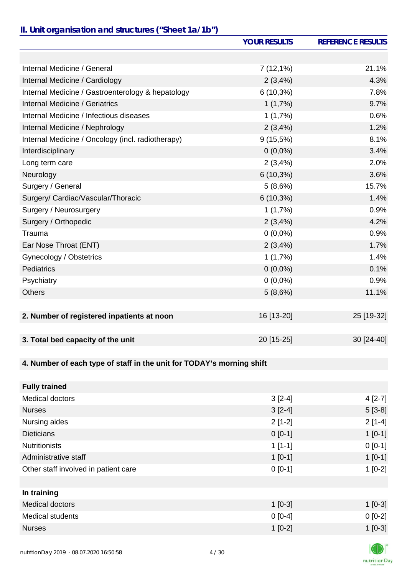## *II. Unit organisation and structures ("Sheet 1a/1b")*

|                                                                       | <b>YOUR RESULTS</b> | <b>REFERENCE RESULTS</b> |
|-----------------------------------------------------------------------|---------------------|--------------------------|
|                                                                       |                     |                          |
| Internal Medicine / General                                           | $7(12,1\%)$         | 21.1%                    |
| Internal Medicine / Cardiology                                        | 2(3,4%)             | 4.3%                     |
| Internal Medicine / Gastroenterology & hepatology                     | $6(10,3\%)$         | 7.8%                     |
| Internal Medicine / Geriatrics                                        | 1(1,7%)             | 9.7%                     |
| Internal Medicine / Infectious diseases                               | 1(1,7%)             | 0.6%                     |
| Internal Medicine / Nephrology                                        | 2(3,4%)             | 1.2%                     |
| Internal Medicine / Oncology (incl. radiotherapy)                     | $9(15,5\%)$         | 8.1%                     |
| Interdisciplinary                                                     | $0(0,0\%)$          | 3.4%                     |
| Long term care                                                        | 2(3,4%)             | 2.0%                     |
| Neurology                                                             | $6(10,3\%)$         | 3.6%                     |
| Surgery / General                                                     | 5(8,6%)             | 15.7%                    |
| Surgery/ Cardiac/Vascular/Thoracic                                    | $6(10,3\%)$         | 1.4%                     |
| Surgery / Neurosurgery                                                | 1(1,7%)             | 0.9%                     |
| Surgery / Orthopedic                                                  | 2(3,4%              | 4.2%                     |
| Trauma                                                                | $0(0,0\%)$          | 0.9%                     |
| Ear Nose Throat (ENT)                                                 | 2(3,4%)             | 1.7%                     |
| Gynecology / Obstetrics                                               | 1(1,7%)             | 1.4%                     |
| <b>Pediatrics</b>                                                     | $0(0,0\%)$          | 0.1%                     |
| Psychiatry                                                            | $0(0,0\%)$          | 0.9%                     |
| <b>Others</b>                                                         | 5(8,6%)             | 11.1%                    |
|                                                                       |                     |                          |
| 2. Number of registered inpatients at noon                            | 16 [13-20]          | 25 [19-32]               |
|                                                                       |                     |                          |
| 3. Total bed capacity of the unit                                     | 20 [15-25]          | 30 [24-40]               |
|                                                                       |                     |                          |
| 4. Number of each type of staff in the unit for TODAY's morning shift |                     |                          |
|                                                                       |                     |                          |
| <b>Fully trained</b>                                                  |                     |                          |
| Medical doctors                                                       | $3[2-4]$            | $4[2-7]$                 |
| <b>Nurses</b>                                                         | $3[2-4]$            | $5[3-8]$                 |
| Nursing aides                                                         | $2[1-2]$            | $2[1-4]$                 |
| <b>Dieticians</b>                                                     | $0[0-1]$            | $1[0-1]$                 |
| <b>Nutritionists</b>                                                  | $1[1-1]$            | $0[0-1]$                 |
| Administrative staff                                                  | $1[0-1]$            | $1[0-1]$                 |
| Other staff involved in patient care                                  | $0[0-1]$            | $1[0-2]$                 |
|                                                                       |                     |                          |
| In training                                                           |                     |                          |
| Medical doctors                                                       | $1 [0-3]$           | $1[0-3]$                 |
| <b>Medical students</b>                                               | $0[0-4]$            | $0[0-2]$                 |
| <b>Nurses</b>                                                         | $1[0-2]$            | $1[0-3]$                 |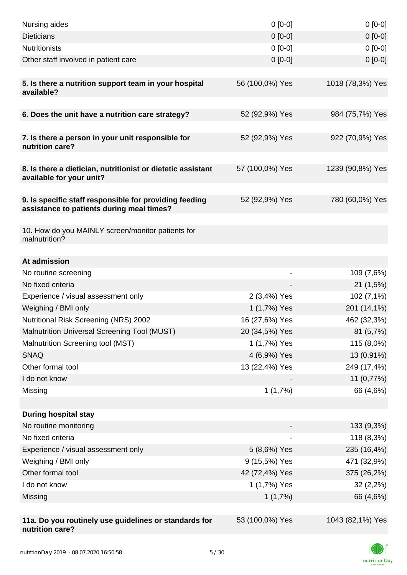| Nursing aides                                                                                       | $0 [0-0]$       | $0[0-0]$               |
|-----------------------------------------------------------------------------------------------------|-----------------|------------------------|
| <b>Dieticians</b>                                                                                   | $0 [0-0]$       | $0[0-0]$               |
| <b>Nutritionists</b>                                                                                | $0 [0-0]$       | $0[0-0]$               |
| Other staff involved in patient care                                                                | $0$ [0-0]       | $0[0-0]$               |
| 5. Is there a nutrition support team in your hospital<br>available?                                 | 56 (100,0%) Yes | 1018 (78,3%) Yes       |
| 6. Does the unit have a nutrition care strategy?                                                    | 52 (92,9%) Yes  | 984 (75,7%) Yes        |
|                                                                                                     |                 |                        |
| 7. Is there a person in your unit responsible for<br>nutrition care?                                | 52 (92,9%) Yes  | 922 (70,9%) Yes        |
| 8. Is there a dietician, nutritionist or dietetic assistant<br>available for your unit?             | 57 (100,0%) Yes | 1239 (90,8%) Yes       |
| 9. Is specific staff responsible for providing feeding<br>assistance to patients during meal times? | 52 (92,9%) Yes  | 780 (60,0%) Yes        |
| 10. How do you MAINLY screen/monitor patients for<br>malnutrition?                                  |                 |                        |
|                                                                                                     |                 |                        |
| At admission                                                                                        |                 |                        |
| No routine screening<br>No fixed criteria                                                           | $\overline{a}$  | 109 (7,6%)<br>21(1,5%) |
| Experience / visual assessment only                                                                 | 2 (3,4%) Yes    | 102 (7,1%)             |
| Weighing / BMI only                                                                                 | 1 (1,7%) Yes    | 201 (14,1%)            |
| Nutritional Risk Screening (NRS) 2002                                                               | 16 (27,6%) Yes  | 462 (32,3%)            |
| Malnutrition Universal Screening Tool (MUST)                                                        | 20 (34,5%) Yes  | 81(5,7%)               |
| Malnutrition Screening tool (MST)                                                                   | 1 (1,7%) Yes    | 115 (8,0%)             |
| <b>SNAQ</b>                                                                                         | 4 (6,9%) Yes    | 13 (0,91%)             |
| Other formal tool                                                                                   | 13 (22,4%) Yes  | 249 (17,4%)            |
| I do not know                                                                                       |                 | 11 (0,77%)             |
| Missing                                                                                             | 1(1,7%)         | 66 (4,6%)              |
|                                                                                                     |                 |                        |
| <b>During hospital stay</b>                                                                         |                 |                        |
| No routine monitoring                                                                               |                 | 133 (9,3%)             |
| No fixed criteria                                                                                   |                 | 118 (8,3%)             |
| Experience / visual assessment only                                                                 | 5 (8,6%) Yes    | 235 (16,4%)            |
| Weighing / BMI only                                                                                 | 9 (15,5%) Yes   | 471 (32,9%)            |
| Other formal tool                                                                                   | 42 (72,4%) Yes  | 375 (26,2%)            |
| I do not know                                                                                       | 1 (1,7%) Yes    | $32(2,2\%)$            |
| Missing                                                                                             | 1(1,7%)         | 66 (4,6%)              |
|                                                                                                     |                 |                        |
| 11a. Do you routinely use guidelines or standards for<br>nutrition care?                            | 53 (100,0%) Yes | 1043 (82,1%) Yes       |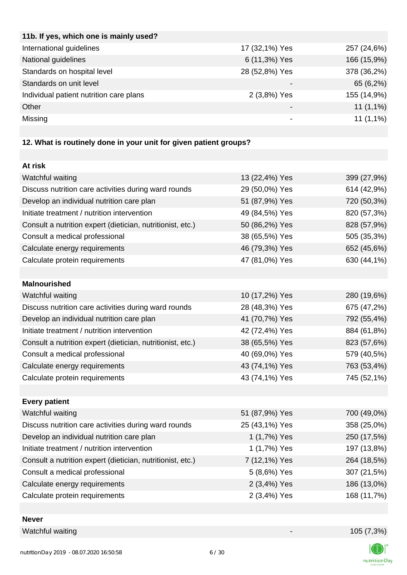| 11b. If yes, which one is mainly used?  |                          |             |
|-----------------------------------------|--------------------------|-------------|
| International guidelines                | 17 (32,1%) Yes           | 257 (24,6%) |
| National guidelines                     | 6 (11,3%) Yes            | 166 (15,9%) |
| Standards on hospital level             | 28 (52,8%) Yes           | 378 (36,2%) |
| Standards on unit level                 |                          | 65 (6,2%)   |
| Individual patient nutrition care plans | 2 (3,8%) Yes             | 155 (14,9%) |
| Other                                   | $\overline{\phantom{0}}$ | $11(1,1\%)$ |
| Missing                                 |                          | $11(1,1\%)$ |
|                                         |                          |             |

# **12. What is routinely done in your unit for given patient groups?**

| At risk                                                    |                |             |
|------------------------------------------------------------|----------------|-------------|
| Watchful waiting                                           | 13 (22,4%) Yes | 399 (27,9%) |
| Discuss nutrition care activities during ward rounds       | 29 (50,0%) Yes | 614 (42,9%) |
| Develop an individual nutrition care plan                  | 51 (87,9%) Yes | 720 (50,3%) |
| Initiate treatment / nutrition intervention                | 49 (84,5%) Yes | 820 (57,3%) |
| Consult a nutrition expert (dietician, nutritionist, etc.) | 50 (86,2%) Yes | 828 (57,9%) |
| Consult a medical professional                             | 38 (65,5%) Yes | 505 (35,3%) |
| Calculate energy requirements                              | 46 (79,3%) Yes | 652 (45,6%) |
| Calculate protein requirements                             | 47 (81,0%) Yes | 630 (44,1%) |
|                                                            |                |             |
| <b>Malnourished</b>                                        |                |             |
| Watchful waiting                                           | 10 (17,2%) Yes | 280 (19,6%) |
| Discuss nutrition care activities during ward rounds       | 28 (48,3%) Yes | 675 (47,2%) |
| Develop an individual nutrition care plan                  | 41 (70,7%) Yes | 792 (55,4%) |
| Initiate treatment / nutrition intervention                | 42 (72,4%) Yes | 884 (61,8%) |
| Consult a nutrition expert (dietician, nutritionist, etc.) | 38 (65,5%) Yes | 823 (57,6%) |
| Consult a medical professional                             | 40 (69,0%) Yes | 579 (40,5%) |
| Calculate energy requirements                              | 43 (74,1%) Yes | 763 (53,4%) |
| Calculate protein requirements                             | 43 (74,1%) Yes | 745 (52,1%) |
|                                                            |                |             |
| <b>Every patient</b>                                       |                |             |
| Watchful waiting                                           | 51 (87,9%) Yes | 700 (49,0%) |
| Discuss nutrition care activities during ward rounds       | 25 (43,1%) Yes | 358 (25,0%) |
| Develop an individual nutrition care plan                  | 1 (1,7%) Yes   | 250 (17,5%) |
| Initiate treatment / nutrition intervention                | 1 (1,7%) Yes   | 197 (13,8%) |
| Consult a nutrition expert (dietician, nutritionist, etc.) | 7 (12,1%) Yes  | 264 (18,5%) |
| Consult a medical professional                             | 5 (8,6%) Yes   | 307 (21,5%) |
| Calculate energy requirements                              | 2 (3,4%) Yes   | 186 (13,0%) |
| Calculate protein requirements                             | 2 (3,4%) Yes   | 168 (11,7%) |
|                                                            |                |             |

**Never**

Watchful waiting 105 (7,3%)

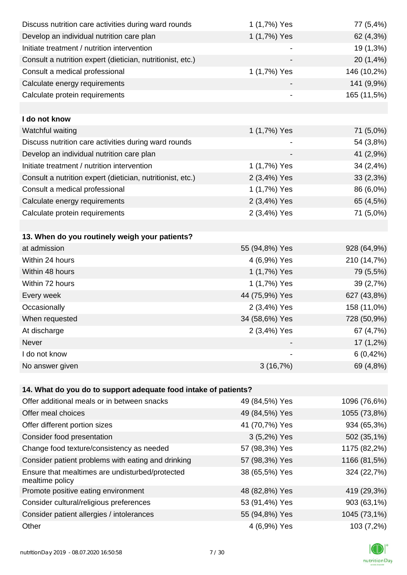| Discuss nutrition care activities during ward rounds               | 1 (1,7%) Yes             | 77 (5,4%)    |
|--------------------------------------------------------------------|--------------------------|--------------|
| Develop an individual nutrition care plan                          | 1 (1,7%) Yes             | 62 (4,3%)    |
| Initiate treatment / nutrition intervention                        |                          | 19 (1,3%)    |
| Consult a nutrition expert (dietician, nutritionist, etc.)         |                          | 20 (1,4%)    |
| Consult a medical professional                                     | 1 (1,7%) Yes             | 146 (10,2%)  |
| Calculate energy requirements                                      |                          | 141 (9,9%)   |
| Calculate protein requirements                                     | $\overline{\phantom{a}}$ | 165 (11,5%)  |
|                                                                    |                          |              |
| I do not know                                                      |                          |              |
| Watchful waiting                                                   | 1 (1,7%) Yes             | 71 (5,0%)    |
| Discuss nutrition care activities during ward rounds               |                          | 54 (3,8%)    |
| Develop an individual nutrition care plan                          |                          | 41 (2,9%)    |
| Initiate treatment / nutrition intervention                        | 1 (1,7%) Yes             | 34 (2,4%)    |
| Consult a nutrition expert (dietician, nutritionist, etc.)         | 2 (3,4%) Yes             | 33(2,3%)     |
| Consult a medical professional                                     | 1 (1,7%) Yes             | 86 (6,0%)    |
| Calculate energy requirements                                      | 2 (3,4%) Yes             | 65 (4,5%)    |
| Calculate protein requirements                                     | 2 (3,4%) Yes             | 71 (5,0%)    |
|                                                                    |                          |              |
| 13. When do you routinely weigh your patients?                     |                          |              |
| at admission                                                       | 55 (94,8%) Yes           | 928 (64,9%)  |
| Within 24 hours                                                    | 4 (6,9%) Yes             | 210 (14,7%)  |
| Within 48 hours                                                    | 1 (1,7%) Yes             | 79 (5,5%)    |
| Within 72 hours                                                    | 1 (1,7%) Yes             | 39 (2,7%)    |
| Every week                                                         | 44 (75,9%) Yes           | 627 (43,8%)  |
| Occasionally                                                       | 2 (3,4%) Yes             | 158 (11,0%)  |
| When requested                                                     | 34 (58,6%) Yes           | 728 (50,9%)  |
| At discharge                                                       | 2 (3,4%) Yes             | 67 (4,7%)    |
| Never                                                              |                          | $17(1,2\%)$  |
| I do not know                                                      |                          | 6(0,42%)     |
| No answer given                                                    | 3(16,7%)                 | 69 (4,8%)    |
|                                                                    |                          |              |
| 14. What do you do to support adequate food intake of patients?    |                          |              |
| Offer additional meals or in between snacks                        | 49 (84,5%) Yes           | 1096 (76,6%) |
| Offer meal choices                                                 | 49 (84,5%) Yes           | 1055 (73,8%) |
| Offer different portion sizes                                      | 41 (70,7%) Yes           | 934 (65,3%)  |
| Consider food presentation                                         | 3 (5,2%) Yes             | 502 (35,1%)  |
| Change food texture/consistency as needed                          | 57 (98,3%) Yes           | 1175 (82,2%) |
| Consider patient problems with eating and drinking                 | 57 (98,3%) Yes           | 1166 (81,5%) |
| Ensure that mealtimes are undisturbed/protected<br>mealtime policy | 38 (65,5%) Yes           | 324 (22,7%)  |
| Promote positive eating environment                                | 48 (82,8%) Yes           | 419 (29,3%)  |
| Consider cultural/religious preferences                            | 53 (91,4%) Yes           | 903 (63,1%)  |
| Consider patient allergies / intolerances                          | 55 (94,8%) Yes           | 1045 (73,1%) |
| Other                                                              | 4 (6,9%) Yes             | 103 (7,2%)   |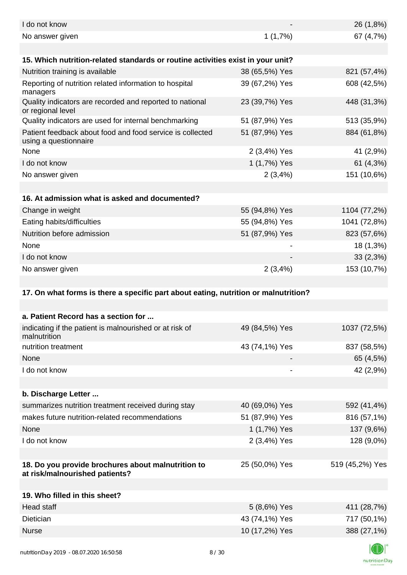| I do not know                                                                        |                | 26 (1,8%)       |
|--------------------------------------------------------------------------------------|----------------|-----------------|
| No answer given                                                                      | 1(1,7%)        | 67 (4,7%)       |
|                                                                                      |                |                 |
| 15. Which nutrition-related standards or routine activities exist in your unit?      |                |                 |
| Nutrition training is available                                                      | 38 (65,5%) Yes | 821 (57,4%)     |
| Reporting of nutrition related information to hospital<br>managers                   | 39 (67,2%) Yes | 608 (42,5%)     |
| Quality indicators are recorded and reported to national<br>or regional level        | 23 (39,7%) Yes | 448 (31,3%)     |
| Quality indicators are used for internal benchmarking                                | 51 (87,9%) Yes | 513 (35,9%)     |
| Patient feedback about food and food service is collected<br>using a questionnaire   | 51 (87,9%) Yes | 884 (61,8%)     |
| None                                                                                 | 2 (3,4%) Yes   | 41 (2,9%)       |
| I do not know                                                                        | 1 (1,7%) Yes   | 61 $(4,3%)$     |
| No answer given                                                                      | 2(3,4%)        | 151 (10,6%)     |
|                                                                                      |                |                 |
| 16. At admission what is asked and documented?                                       |                |                 |
| Change in weight                                                                     | 55 (94,8%) Yes | 1104 (77,2%)    |
| Eating habits/difficulties                                                           | 55 (94,8%) Yes | 1041 (72,8%)    |
| Nutrition before admission                                                           | 51 (87,9%) Yes | 823 (57,6%)     |
| None                                                                                 |                | 18 (1,3%)       |
| I do not know                                                                        |                | 33(2,3%)        |
| No answer given                                                                      | 2(3,4%)        | 153 (10,7%)     |
|                                                                                      |                |                 |
|                                                                                      |                |                 |
| 17. On what forms is there a specific part about eating, nutrition or malnutrition?  |                |                 |
|                                                                                      |                |                 |
| a. Patient Record has a section for                                                  |                |                 |
| indicating if the patient is malnourished or at risk of<br>malnutrition              | 49 (84,5%) Yes | 1037 (72,5%)    |
| nutrition treatment                                                                  | 43 (74,1%) Yes | 837 (58,5%)     |
| None                                                                                 |                | 65 (4,5%)       |
| I do not know                                                                        | -              | 42 (2,9%)       |
|                                                                                      |                |                 |
| b. Discharge Letter                                                                  |                |                 |
| summarizes nutrition treatment received during stay                                  | 40 (69,0%) Yes | 592 (41,4%)     |
| makes future nutrition-related recommendations                                       | 51 (87,9%) Yes | 816 (57,1%)     |
| None                                                                                 | 1 (1,7%) Yes   | 137 (9,6%)      |
| I do not know                                                                        | 2 (3,4%) Yes   | 128 (9,0%)      |
|                                                                                      |                |                 |
| 18. Do you provide brochures about malnutrition to<br>at risk/malnourished patients? | 25 (50,0%) Yes | 519 (45,2%) Yes |
|                                                                                      |                |                 |
| 19. Who filled in this sheet?                                                        |                |                 |
| <b>Head staff</b>                                                                    | 5 (8,6%) Yes   | 411 (28,7%)     |
| Dietician                                                                            | 43 (74,1%) Yes | 717 (50,1%)     |
| <b>Nurse</b>                                                                         | 10 (17,2%) Yes | 388 (27,1%)     |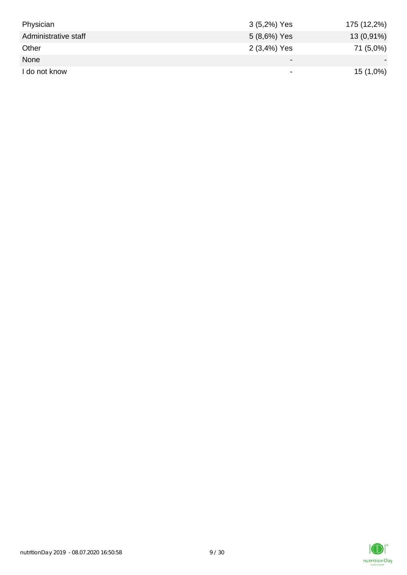| Physician            | 3 (5,2%) Yes | 175 (12,2%) |
|----------------------|--------------|-------------|
| Administrative staff | 5 (8,6%) Yes | 13 (0,91%)  |
| Other                | 2 (3,4%) Yes | 71 (5,0%)   |
| None                 | -            |             |
| I do not know        | -            | 15 (1,0%)   |

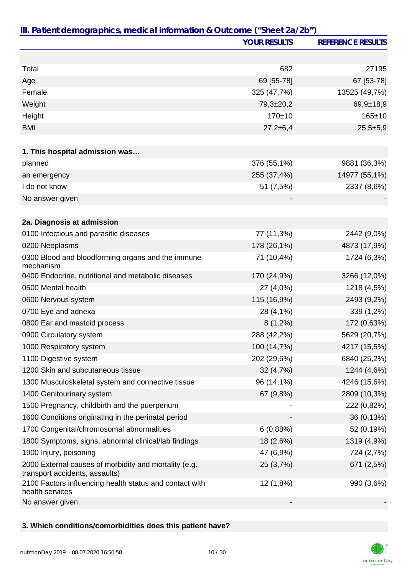|                                                                                         | <b>YOUR RESULTS</b> | <b>REFERENCE RESULTS</b> |
|-----------------------------------------------------------------------------------------|---------------------|--------------------------|
|                                                                                         |                     |                          |
| Total                                                                                   | 682                 | 27195                    |
| Age                                                                                     | 69 [55-78]          | 67 [53-78]               |
| Female                                                                                  | 325 (47,7%)         | 13525 (49,7%)            |
| Weight                                                                                  | $79,3{\pm}20,2$     | $69,9+18,9$              |
| Height                                                                                  | 170±10              | $165 \pm 10$             |
| <b>BMI</b>                                                                              | $27,2+6,4$          | $25,5+5,9$               |
|                                                                                         |                     |                          |
| 1. This hospital admission was                                                          |                     |                          |
| planned                                                                                 | 376 (55,1%)         | 9881 (36,3%)             |
| an emergency                                                                            | 255 (37,4%)         | 14977 (55,1%)            |
| I do not know                                                                           | 51 (7,5%)           | 2337 (8,6%)              |
| No answer given                                                                         |                     |                          |
|                                                                                         |                     |                          |
| 2a. Diagnosis at admission                                                              |                     |                          |
| 0100 Infectious and parasitic diseases                                                  | 77 (11,3%)          | 2442 (9,0%)              |
| 0200 Neoplasms                                                                          | 178 (26,1%)         | 4873 (17,9%)             |
| 0300 Blood and bloodforming organs and the immune<br>mechanism                          | 71 (10,4%)          | 1724 (6,3%)              |
| 0400 Endocrine, nutritional and metabolic diseases                                      | 170 (24,9%)         | 3266 (12,0%)             |
| 0500 Mental health                                                                      | 27 (4,0%)           | 1218 (4,5%)              |
| 0600 Nervous system                                                                     | 115 (16,9%)         | 2493 (9,2%)              |
| 0700 Eye and adnexa                                                                     | 28 (4,1%)           | 339 (1,2%)               |
| 0800 Ear and mastoid process                                                            | $8(1,2\%)$          | 172 (0,63%)              |
| 0900 Circulatory system                                                                 | 288 (42,2%)         | 5629 (20,7%)             |
| 1000 Respiratory system                                                                 | 100 (14,7%)         | 4217 (15,5%)             |
| 1100 Digestive system                                                                   | 202 (29,6%)         | 6840 (25,2%)             |
| 1200 Skin and subcutaneous tissue                                                       | 32 (4,7%)           | 1244 (4,6%)              |
| 1300 Musculoskeletal system and connective tissue                                       | 96 (14,1%)          | 4246 (15,6%)             |
| 1400 Genitourinary system                                                               | 67 (9,8%)           | 2809 (10,3%)             |
| 1500 Pregnancy, childbirth and the puerperium                                           |                     | 222 (0,82%)              |
| 1600 Conditions originating in the perinatal period                                     |                     | 36 (0,13%)               |
| 1700 Congenital/chromosomal abnormalities                                               | 6(0,88%)            | 52 (0,19%)               |
| 1800 Symptoms, signs, abnormal clinical/lab findings                                    | 18 (2,6%)           | 1319 (4,9%)              |
| 1900 Injury, poisoning                                                                  | 47 (6,9%)           | 724 (2,7%)               |
| 2000 External causes of morbidity and mortality (e.g.<br>transport accidents, assaults) | 25 (3,7%)           | 671 (2,5%)               |
| 2100 Factors influencing health status and contact with<br>health services              | 12 (1,8%)           | 990 (3,6%)               |
| No answer given                                                                         |                     |                          |

## **3. Which conditions/comorbidities does this patient have?**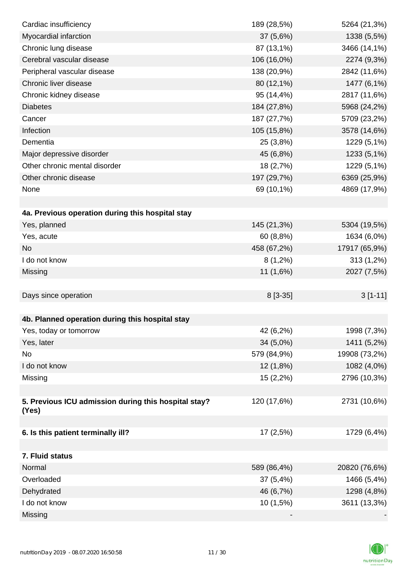| Cardiac insufficiency                                         | 189 (28,5%) | 5264 (21,3%)  |
|---------------------------------------------------------------|-------------|---------------|
| Myocardial infarction                                         | 37 (5,6%)   | 1338 (5,5%)   |
| Chronic lung disease                                          | 87 (13,1%)  | 3466 (14,1%)  |
| Cerebral vascular disease                                     | 106 (16,0%) | 2274 (9,3%)   |
| Peripheral vascular disease                                   | 138 (20,9%) | 2842 (11,6%)  |
| Chronic liver disease                                         | 80 (12,1%)  | 1477 (6,1%)   |
| Chronic kidney disease                                        | 95 (14,4%)  | 2817 (11,6%)  |
| <b>Diabetes</b>                                               | 184 (27,8%) | 5968 (24,2%)  |
| Cancer                                                        | 187 (27,7%) | 5709 (23,2%)  |
| Infection                                                     | 105 (15,8%) | 3578 (14,6%)  |
| Dementia                                                      | 25 (3,8%)   | 1229 (5,1%)   |
| Major depressive disorder                                     | 45 (6,8%)   | 1233 (5,1%)   |
| Other chronic mental disorder                                 | 18 (2,7%)   | 1229 (5,1%)   |
| Other chronic disease                                         | 197 (29,7%) | 6369 (25,9%)  |
| None                                                          | 69 (10,1%)  | 4869 (17,9%)  |
|                                                               |             |               |
| 4a. Previous operation during this hospital stay              |             |               |
| Yes, planned                                                  | 145 (21,3%) | 5304 (19,5%)  |
| Yes, acute                                                    | 60 (8,8%)   | 1634 (6,0%)   |
| <b>No</b>                                                     | 458 (67,2%) | 17917 (65,9%) |
| I do not know                                                 | $8(1,2\%)$  | 313 (1,2%)    |
| Missing                                                       | 11 (1,6%)   | 2027 (7,5%)   |
|                                                               |             |               |
| Days since operation                                          | 8 [3-35]    | $3[1-11]$     |
|                                                               |             |               |
| 4b. Planned operation during this hospital stay               |             |               |
| Yes, today or tomorrow                                        | 42 (6,2%)   | 1998 (7,3%)   |
| Yes, later                                                    | 34 (5,0%)   | 1411 (5,2%)   |
| No                                                            | 579 (84,9%) | 19908 (73,2%) |
| I do not know                                                 | 12 (1,8%)   | 1082 (4,0%)   |
| Missing                                                       | 15(2,2%)    | 2796 (10,3%)  |
|                                                               |             |               |
| 5. Previous ICU admission during this hospital stay?<br>(Yes) | 120 (17,6%) | 2731 (10,6%)  |
|                                                               |             |               |
| 6. Is this patient terminally ill?                            | 17 (2,5%)   | 1729 (6,4%)   |
|                                                               |             |               |
| 7. Fluid status                                               |             |               |
| Normal                                                        | 589 (86,4%) | 20820 (76,6%) |
| Overloaded                                                    | 37 (5,4%)   | 1466 (5,4%)   |
| Dehydrated                                                    | 46 (6,7%)   | 1298 (4,8%)   |
| I do not know                                                 | 10 (1,5%)   | 3611 (13,3%)  |
| Missing                                                       |             |               |

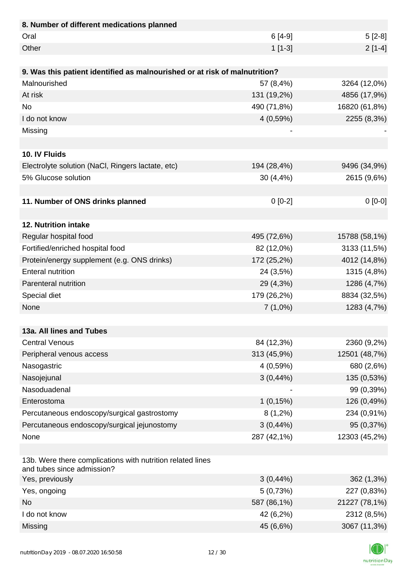| 8. Number of different medications planned                                               |              |               |
|------------------------------------------------------------------------------------------|--------------|---------------|
| Oral                                                                                     | $6[4-9]$     | $5[2-8]$      |
| Other                                                                                    | $1[1-3]$     | $2[1-4]$      |
|                                                                                          |              |               |
| 9. Was this patient identified as malnourished or at risk of malnutrition?               |              |               |
| Malnourished                                                                             | 57 (8,4%)    | 3264 (12,0%)  |
| At risk                                                                                  | 131 (19,2%)  | 4856 (17,9%)  |
| <b>No</b>                                                                                | 490 (71,8%)  | 16820 (61,8%) |
| I do not know                                                                            | 4(0,59%)     | 2255 (8,3%)   |
| Missing                                                                                  |              |               |
|                                                                                          |              |               |
| 10. IV Fluids                                                                            |              |               |
| Electrolyte solution (NaCl, Ringers lactate, etc)                                        | 194 (28,4%)  | 9496 (34,9%)  |
| 5% Glucose solution                                                                      | $30(4, 4\%)$ | 2615 (9,6%)   |
|                                                                                          |              |               |
| 11. Number of ONS drinks planned                                                         | $0[0-2]$     | $0[0-0]$      |
|                                                                                          |              |               |
| 12. Nutrition intake                                                                     |              |               |
| Regular hospital food                                                                    | 495 (72,6%)  | 15788 (58,1%) |
| Fortified/enriched hospital food                                                         | 82 (12,0%)   | 3133 (11,5%)  |
| Protein/energy supplement (e.g. ONS drinks)                                              | 172 (25,2%)  | 4012 (14,8%)  |
| <b>Enteral nutrition</b>                                                                 | 24 (3,5%)    | 1315 (4,8%)   |
| Parenteral nutrition                                                                     | 29 (4,3%)    | 1286 (4,7%)   |
| Special diet                                                                             | 179 (26,2%)  | 8834 (32,5%)  |
| None                                                                                     | $7(1,0\%)$   | 1283 (4,7%)   |
|                                                                                          |              |               |
| 13a. All lines and Tubes                                                                 |              |               |
| <b>Central Venous</b>                                                                    | 84 (12,3%)   | 2360 (9,2%)   |
| Peripheral venous access                                                                 | 313 (45,9%)  | 12501 (48,7%) |
| Nasogastric                                                                              | 4 (0,59%)    | 680 (2,6%)    |
| Nasojejunal                                                                              | $3(0,44\%)$  | 135 (0,53%)   |
| Nasoduadenal                                                                             |              | 99 (0,39%)    |
| Enterostoma                                                                              | 1(0,15%)     | 126 (0,49%)   |
| Percutaneous endoscopy/surgical gastrostomy                                              | $8(1,2\%)$   | 234 (0,91%)   |
| Percutaneous endoscopy/surgical jejunostomy                                              | $3(0,44\%)$  | 95 (0,37%)    |
| None                                                                                     | 287 (42,1%)  | 12303 (45,2%) |
|                                                                                          |              |               |
| 13b. Were there complications with nutrition related lines<br>and tubes since admission? |              |               |
| Yes, previously                                                                          | $3(0,44\%)$  | 362 (1,3%)    |
| Yes, ongoing                                                                             | 5(0,73%)     | 227 (0,83%)   |
| <b>No</b>                                                                                | 587 (86,1%)  | 21227 (78,1%) |
| I do not know                                                                            | 42 (6,2%)    | 2312 (8,5%)   |
| Missing                                                                                  | 45 (6,6%)    | 3067 (11,3%)  |

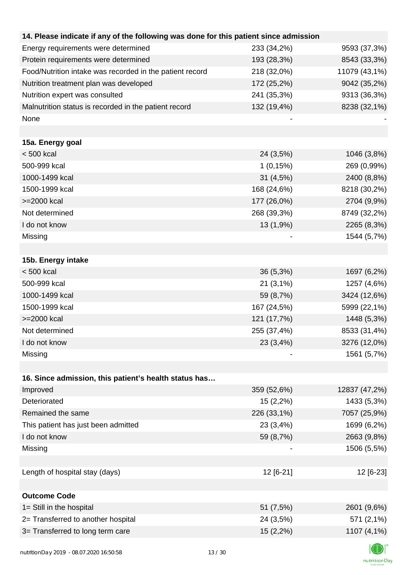| 14. Please indicate if any of the following was done for this patient since admission |             |               |
|---------------------------------------------------------------------------------------|-------------|---------------|
| Energy requirements were determined                                                   | 233 (34,2%) | 9593 (37,3%)  |
| Protein requirements were determined                                                  | 193 (28,3%) | 8543 (33,3%)  |
| Food/Nutrition intake was recorded in the patient record                              | 218 (32,0%) | 11079 (43,1%) |
| Nutrition treatment plan was developed                                                | 172 (25,2%) | 9042 (35,2%)  |
| Nutrition expert was consulted                                                        | 241 (35,3%) | 9313 (36,3%)  |
| Malnutrition status is recorded in the patient record                                 | 132 (19,4%) | 8238 (32,1%)  |
| None                                                                                  |             |               |
|                                                                                       |             |               |
| 15a. Energy goal                                                                      |             |               |
| $< 500$ kcal                                                                          | 24 (3,5%)   | 1046 (3,8%)   |
| 500-999 kcal                                                                          | 1(0,15%)    | 269 (0,99%)   |
| 1000-1499 kcal                                                                        | 31 (4,5%)   | 2400 (8,8%)   |
| 1500-1999 kcal                                                                        | 168 (24,6%) | 8218 (30,2%)  |
| >=2000 kcal                                                                           | 177 (26,0%) | 2704 (9,9%)   |
| Not determined                                                                        | 268 (39,3%) | 8749 (32,2%)  |
| I do not know                                                                         | 13 (1,9%)   | 2265 (8,3%)   |
| Missing                                                                               |             | 1544 (5,7%)   |
|                                                                                       |             |               |
| 15b. Energy intake                                                                    |             |               |
| $< 500$ kcal                                                                          | 36 (5,3%)   | 1697 (6,2%)   |
| 500-999 kcal                                                                          | $21(3,1\%)$ | 1257 (4,6%)   |
| 1000-1499 kcal                                                                        | 59 (8,7%)   | 3424 (12,6%)  |
| 1500-1999 kcal                                                                        | 167 (24,5%) | 5999 (22,1%)  |
| >=2000 kcal                                                                           | 121 (17,7%) | 1448 (5,3%)   |
| Not determined                                                                        | 255 (37,4%) | 8533 (31,4%)  |
| I do not know                                                                         | 23 (3,4%)   | 3276 (12,0%)  |
| Missing                                                                               |             | 1561 (5,7%)   |
|                                                                                       |             |               |
| 16. Since admission, this patient's health status has                                 |             |               |
| Improved                                                                              | 359 (52,6%) | 12837 (47,2%) |
| Deteriorated                                                                          | 15 (2,2%)   | 1433 (5,3%)   |
| Remained the same                                                                     | 226 (33,1%) | 7057 (25,9%)  |
| This patient has just been admitted                                                   | 23 (3,4%)   | 1699 (6,2%)   |
| I do not know                                                                         | 59 (8,7%)   | 2663 (9,8%)   |
| Missing                                                                               |             | 1506 (5,5%)   |
|                                                                                       |             |               |
| Length of hospital stay (days)                                                        | 12 [6-21]   | 12 [6-23]     |
|                                                                                       |             |               |
| <b>Outcome Code</b>                                                                   |             |               |
| 1= Still in the hospital                                                              | 51 (7,5%)   | 2601 (9,6%)   |
| 2= Transferred to another hospital                                                    | 24 (3,5%)   | 571 (2,1%)    |
| 3= Transferred to long term care                                                      | 15(2,2%)    | 1107 (4,1%)   |
|                                                                                       |             |               |

K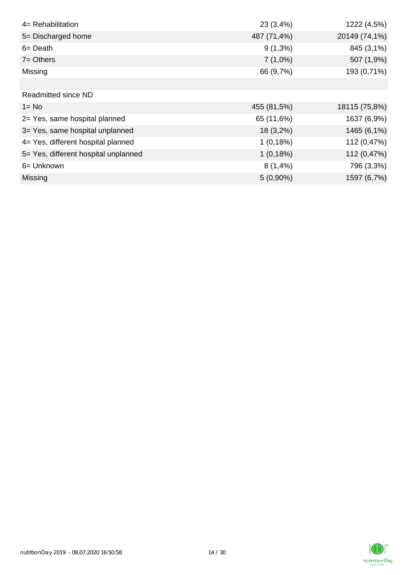| 4= Rehabilitation                    | 23 (3,4%)   | 1222 (4,5%)   |
|--------------------------------------|-------------|---------------|
| 5= Discharged home                   | 487 (71,4%) | 20149 (74,1%) |
| $6 = Death$                          | $9(1,3\%)$  | 845 (3,1%)    |
| $7 =$ Others                         | $7(1,0\%)$  | 507 (1,9%)    |
| Missing                              | 66 (9,7%)   | 193 (0,71%)   |
|                                      |             |               |
| <b>Readmitted since ND</b>           |             |               |
| $1 = No$                             | 455 (81,5%) | 18115 (75,8%) |
| 2= Yes, same hospital planned        | 65 (11,6%)  | 1637 (6,9%)   |
| 3= Yes, same hospital unplanned      | 18 (3,2%)   | 1465 (6,1%)   |
| 4= Yes, different hospital planned   | 1(0,18%)    | 112 (0,47%)   |
| 5= Yes, different hospital unplanned | 1(0,18%)    | 112 (0,47%)   |
| 6= Unknown                           | $8(1,4\%)$  | 796 (3,3%)    |
| <b>Missing</b>                       | $5(0,90\%)$ | 1597 (6,7%)   |

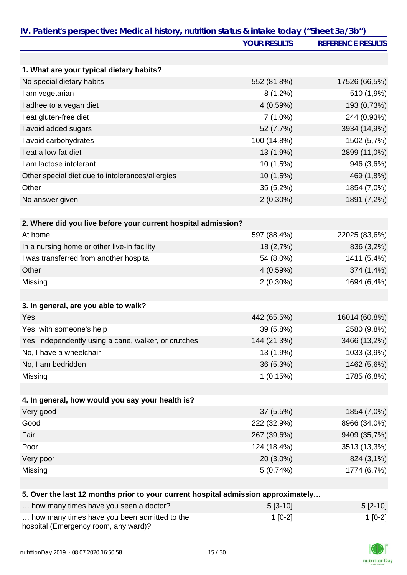|                                                                                   | <b>YOUR RESULTS</b> | <b>REFERENCE RESULTS</b> |
|-----------------------------------------------------------------------------------|---------------------|--------------------------|
|                                                                                   |                     |                          |
| 1. What are your typical dietary habits?                                          |                     |                          |
| No special dietary habits                                                         | 552 (81,8%)         | 17526 (66,5%)            |
| I am vegetarian                                                                   | $8(1,2\%)$          | 510 (1,9%)               |
| I adhee to a vegan diet                                                           | 4(0,59%)            | 193 (0,73%)              |
| I eat gluten-free diet                                                            | $7(1,0\%)$          | 244 (0,93%)              |
| I avoid added sugars                                                              | 52 (7,7%)           | 3934 (14,9%)             |
| I avoid carbohydrates                                                             | 100 (14,8%)         | 1502 (5,7%)              |
| I eat a low fat-diet                                                              | 13 (1,9%)           | 2899 (11,0%)             |
| I am lactose intolerant                                                           | 10 (1,5%)           | 946 (3,6%)               |
| Other special diet due to intolerances/allergies                                  | 10 (1,5%)           | 469 (1,8%)               |
| Other                                                                             | 35 (5,2%)           | 1854 (7,0%)              |
| No answer given                                                                   | $2(0,30\%)$         | 1891 (7,2%)              |
| 2. Where did you live before your current hospital admission?                     |                     |                          |
| At home                                                                           | 597 (88,4%)         | 22025 (83,6%)            |
| In a nursing home or other live-in facility                                       | 18 (2,7%)           | 836 (3,2%)               |
| I was transferred from another hospital                                           | 54 (8,0%)           | 1411 (5,4%)              |
| Other                                                                             | 4(0,59%)            | 374 (1,4%)               |
| Missing                                                                           | $2(0,30\%)$         | 1694 (6,4%)              |
|                                                                                   |                     |                          |
| 3. In general, are you able to walk?                                              |                     |                          |
| Yes                                                                               | 442 (65,5%)         | 16014 (60,8%)            |
| Yes, with someone's help                                                          | 39 (5,8%)           | 2580 (9,8%)              |
| Yes, independently using a cane, walker, or crutches                              | 144 (21,3%)         | 3466 (13,2%)             |
| No, I have a wheelchair                                                           | 13 (1,9%)           | 1033 (3,9%)              |
| No, I am bedridden                                                                | 36 (5,3%)           | 1462 (5,6%)              |
| Missing                                                                           | 1(0,15%)            | 1785 (6,8%)              |
|                                                                                   |                     |                          |
| 4. In general, how would you say your health is?                                  |                     |                          |
| Very good                                                                         | 37 (5,5%)           | 1854 (7,0%)              |
| Good                                                                              | 222 (32,9%)         | 8966 (34,0%)             |
| Fair                                                                              | 267 (39,6%)         | 9409 (35,7%)             |
| Poor                                                                              | 124 (18,4%)         | 3513 (13,3%)             |
| Very poor                                                                         | 20 (3,0%)           | 824 (3,1%)               |
| Missing                                                                           | 5(0,74%)            | 1774 (6,7%)              |
| 5. Over the last 12 months prior to your current hospital admission approximately |                     |                          |
| how many times have you seen a doctor?                                            | $5[3-10]$           | $5[2-10]$                |

| now many times have you seen a doctor?                                               | $513 - 101$ | $512 - 101$ |
|--------------------------------------------------------------------------------------|-------------|-------------|
| how many times have you been admitted to the<br>hospital (Emergency room, any ward)? | $1$ [0-2]   | 1 [0-2]     |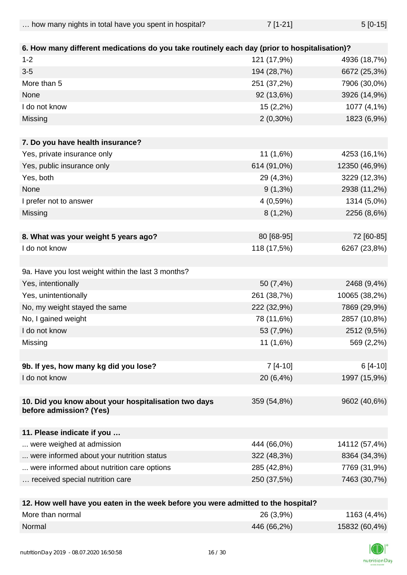| how many nights in total have you spent in hospital? | $7$ [1-21] | $5[0-15]$ |
|------------------------------------------------------|------------|-----------|
|                                                      |            |           |

| 6. How many different medications do you take routinely each day (prior to hospitalisation)? |             |               |
|----------------------------------------------------------------------------------------------|-------------|---------------|
| $1 - 2$                                                                                      | 121 (17,9%) | 4936 (18,7%)  |
| $3-5$                                                                                        | 194 (28,7%) | 6672 (25,3%)  |
| More than 5                                                                                  | 251 (37,2%) | 7906 (30,0%)  |
| None                                                                                         | 92 (13,6%)  | 3926 (14,9%)  |
| I do not know                                                                                | 15 (2,2%)   | 1077 (4,1%)   |
| Missing                                                                                      | $2(0,30\%)$ | 1823 (6,9%)   |
|                                                                                              |             |               |
| 7. Do you have health insurance?                                                             |             |               |
| Yes, private insurance only                                                                  | 11 (1,6%)   | 4253 (16,1%)  |
| Yes, public insurance only                                                                   | 614 (91,0%) | 12350 (46,9%) |
| Yes, both                                                                                    | 29 (4,3%)   | 3229 (12,3%)  |
| None                                                                                         | $9(1,3\%)$  | 2938 (11,2%)  |
| I prefer not to answer                                                                       | 4 (0,59%)   | 1314 (5,0%)   |
| Missing                                                                                      | $8(1,2\%)$  | 2256 (8,6%)   |
|                                                                                              |             |               |
| 8. What was your weight 5 years ago?                                                         | 80 [68-95]  | 72 [60-85]    |
| I do not know                                                                                | 118 (17,5%) | 6267 (23,8%)  |
| 9a. Have you lost weight within the last 3 months?                                           |             |               |
| Yes, intentionally                                                                           | 50 (7,4%)   | 2468 (9,4%)   |
| Yes, unintentionally                                                                         | 261 (38,7%) | 10065 (38,2%) |
| No, my weight stayed the same                                                                | 222 (32,9%) | 7869 (29,9%)  |
| No, I gained weight                                                                          | 78 (11,6%)  | 2857 (10,8%)  |
| I do not know                                                                                | 53 (7,9%)   | 2512 (9,5%)   |
| Missing                                                                                      | 11(1,6%)    | 569 (2,2%)    |
|                                                                                              |             |               |
| 9b. If yes, how many kg did you lose?                                                        | $7[4-10]$   | 6 [4-10]      |
| I do not know                                                                                | 20 (6,4%)   | 1997 (15,9%)  |
|                                                                                              |             |               |
| 10. Did you know about your hospitalisation two days<br>before admission? (Yes)              | 359 (54,8%) | 9602 (40,6%)  |
|                                                                                              |             |               |
| 11. Please indicate if you                                                                   |             |               |
| were weighed at admission                                                                    | 444 (66,0%) | 14112 (57,4%) |
| were informed about your nutrition status                                                    | 322 (48,3%) | 8364 (34,3%)  |
| were informed about nutrition care options                                                   | 285 (42,8%) | 7769 (31,9%)  |
| received special nutrition care                                                              | 250 (37,5%) | 7463 (30,7%)  |
|                                                                                              |             |               |

| 12. How well have you eaten in the week before you were admitted to the hospital? |             |               |
|-----------------------------------------------------------------------------------|-------------|---------------|
| More than normal                                                                  | $26(3,9\%)$ | 1163 (4,4%)   |
| Normal                                                                            | 446 (66,2%) | 15832 (60,4%) |

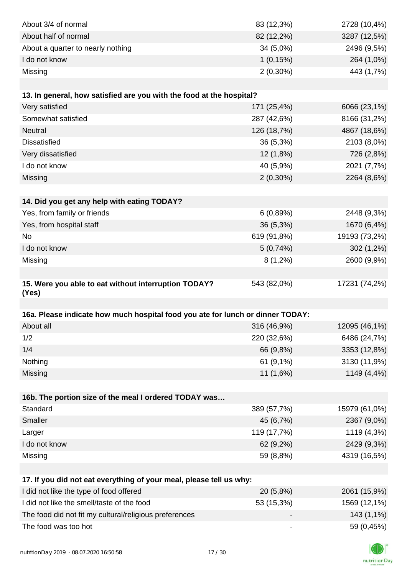| About 3/4 of normal                                                            | 83 (12,3%)  | 2728 (10,4%)  |
|--------------------------------------------------------------------------------|-------------|---------------|
| About half of normal                                                           | 82 (12,2%)  | 3287 (12,5%)  |
| About a quarter to nearly nothing                                              | $34(5,0\%)$ | 2496 (9,5%)   |
| I do not know                                                                  | 1(0,15%)    | 264 (1,0%)    |
| Missing                                                                        | $2(0,30\%)$ | 443 (1,7%)    |
|                                                                                |             |               |
| 13. In general, how satisfied are you with the food at the hospital?           |             |               |
| Very satisfied                                                                 | 171 (25,4%) | 6066 (23,1%)  |
| Somewhat satisfied                                                             | 287 (42,6%) | 8166 (31,2%)  |
| <b>Neutral</b>                                                                 | 126 (18,7%) | 4867 (18,6%)  |
| <b>Dissatisfied</b>                                                            | 36 (5,3%)   | 2103 (8,0%)   |
| Very dissatisfied                                                              | 12 (1,8%)   | 726 (2,8%)    |
| I do not know                                                                  | 40 (5,9%)   | 2021 (7,7%)   |
| Missing                                                                        | $2(0,30\%)$ | 2264 (8,6%)   |
|                                                                                |             |               |
| 14. Did you get any help with eating TODAY?                                    |             |               |
| Yes, from family or friends                                                    | 6(0,89%)    | 2448 (9,3%)   |
| Yes, from hospital staff                                                       | 36 (5,3%)   | 1670 (6,4%)   |
| <b>No</b>                                                                      | 619 (91,8%) | 19193 (73,2%) |
| I do not know                                                                  | 5(0,74%)    | $302(1,2\%)$  |
| Missing                                                                        | $8(1,2\%)$  | 2600 (9,9%)   |
|                                                                                |             |               |
| 15. Were you able to eat without interruption TODAY?                           | 543 (82,0%) | 17231 (74,2%) |
| (Yes)                                                                          |             |               |
|                                                                                |             |               |
| 16a. Please indicate how much hospital food you ate for lunch or dinner TODAY: |             |               |
| About all                                                                      | 316 (46,9%) | 12095 (46,1%) |
| 1/2                                                                            | 220 (32,6%) | 6486 (24,7%)  |
| 1/4                                                                            | 66 (9,8%)   | 3353 (12,8%)  |
| Nothing                                                                        | 61 (9,1%)   | 3130 (11,9%)  |
| Missing                                                                        | 11 (1,6%)   | 1149 (4,4%)   |
|                                                                                |             |               |
| 16b. The portion size of the meal I ordered TODAY was<br>Standard              |             |               |
|                                                                                | 389 (57,7%) | 15979 (61,0%) |
| Smaller                                                                        | 45 (6,7%)   | 2367 (9,0%)   |
| Larger                                                                         | 119 (17,7%) | 1119 (4,3%)   |
| I do not know                                                                  | 62 (9,2%)   | 2429 (9,3%)   |
| Missing                                                                        | 59 (8,8%)   | 4319 (16,5%)  |
|                                                                                |             |               |
| 17. If you did not eat everything of your meal, please tell us why:            |             |               |
| I did not like the type of food offered                                        | 20 (5,8%)   | 2061 (15,9%)  |
| I did not like the smell/taste of the food                                     | 53 (15,3%)  | 1569 (12,1%)  |
| The food did not fit my cultural/religious preferences                         |             | 143 (1,1%)    |
| The food was too hot                                                           |             | 59 (0,45%)    |

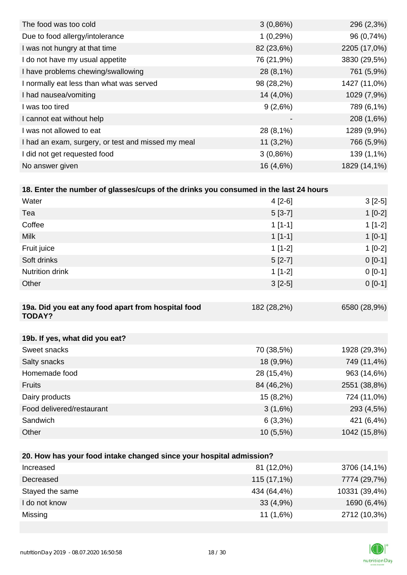| 3(0,86%)                 | 296 (2,3%)   |
|--------------------------|--------------|
| 1(0,29%)                 | 96 (0,74%)   |
| 82 (23,6%)               | 2205 (17,0%) |
| 76 (21,9%)               | 3830 (29,5%) |
| 28 (8,1%)                | 761 (5,9%)   |
| 98 (28,2%)               | 1427 (11,0%) |
| 14 (4,0%)                | 1029 (7,9%)  |
| 9(2,6%)                  | 789 (6,1%)   |
| $\overline{\phantom{a}}$ | 208 (1,6%)   |
| 28 (8,1%)                | 1289 (9,9%)  |
| $11(3,2\%)$              | 766 (5,9%)   |
| 3(0,86%)                 | 139 (1,1%)   |
| 16 (4,6%)                | 1829 (14,1%) |
|                          |              |

| Water                                                               | $4[2-6]$    | $3[2-5]$     |
|---------------------------------------------------------------------|-------------|--------------|
| Tea                                                                 | $5[3-7]$    | $1[0-2]$     |
| Coffee                                                              | $1[1-1]$    | $1[1-2]$     |
| <b>Milk</b>                                                         | $1[1-1]$    | $1[0-1]$     |
| Fruit juice                                                         | $1[1-2]$    | $1[0-2]$     |
| Soft drinks                                                         | $5[2-7]$    | $0[0-1]$     |
| <b>Nutrition drink</b>                                              | $1[1-2]$    | $0[0-1]$     |
| Other                                                               | $3[2-5]$    | $0[0-1]$     |
|                                                                     |             |              |
| 19a. Did you eat any food apart from hospital food<br><b>TODAY?</b> | 182 (28,2%) | 6580 (28,9%) |
|                                                                     |             |              |
| 19b. If yes, what did you eat?                                      |             |              |
| Sweet snacks                                                        | 70 (38,5%)  | 1928 (29,3%) |
| Salty snacks                                                        | 18 (9,9%)   | 749 (11,4%)  |
| Homemade food                                                       | 28 (15,4%)  | 963 (14,6%)  |
| <b>Fruits</b>                                                       | 84 (46,2%)  | 2551 (38,8%) |
| Dairy products                                                      | 15 (8,2%)   | 724 (11,0%)  |
| Food delivered/restaurant                                           | 3(1,6%)     | 293 (4,5%)   |
| Sandwich                                                            | $6(3,3\%)$  | 421 (6,4%)   |
| Other                                                               | 10 (5,5%)   | 1042 (15,8%) |
|                                                                     |             |              |
| 20. How has your food intake changed since your hospital admission? |             |              |
| Increased                                                           | $81(120\%)$ | $(14.1\%)$   |

| Increased       | 81 (12,0%)  | 3706 (14,1%)  |
|-----------------|-------------|---------------|
| Decreased       | 115 (17,1%) | 7774 (29,7%)  |
| Stayed the same | 434 (64,4%) | 10331 (39,4%) |
| I do not know   | 33(4,9%)    | 1690 (6,4%)   |
| Missing         | $11(1,6\%)$ | 2712 (10,3%)  |

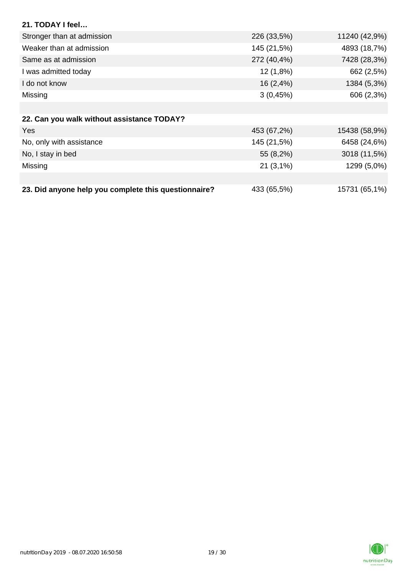| 21. TODAY I feel                                     |              |               |
|------------------------------------------------------|--------------|---------------|
| Stronger than at admission                           | 226 (33,5%)  | 11240 (42,9%) |
| Weaker than at admission                             | 145 (21,5%)  | 4893 (18,7%)  |
| Same as at admission                                 | 272 (40,4%)  | 7428 (28,3%)  |
| I was admitted today                                 | 12(1,8%)     | 662 (2,5%)    |
| I do not know                                        | $16(2, 4\%)$ | 1384 (5,3%)   |
| Missing                                              | 3(0,45%)     | 606 (2,3%)    |
|                                                      |              |               |
| 22. Can you walk without assistance TODAY?           |              |               |
| Yes                                                  | 453 (67,2%)  | 15438 (58,9%) |
| No, only with assistance                             | 145 (21,5%)  | 6458 (24,6%)  |
| No, I stay in bed                                    | 55 (8,2%)    | 3018 (11,5%)  |
| Missing                                              | $21(3,1\%)$  | 1299 (5,0%)   |
|                                                      |              |               |
| 23. Did anyone help you complete this questionnaire? | 433 (65,5%)  | 15731 (65,1%) |

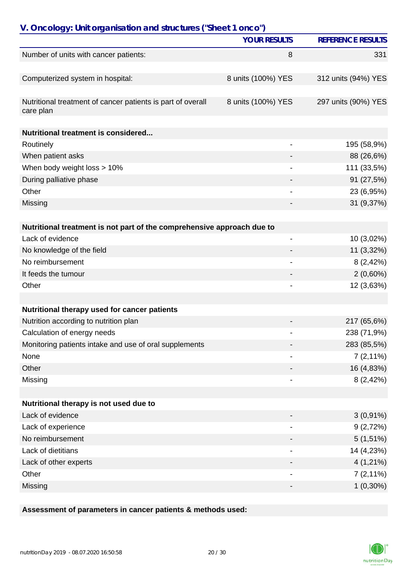| V. Oncology: Unit organisation and structures ("Sheet 1 onco")           |                          |                          |
|--------------------------------------------------------------------------|--------------------------|--------------------------|
|                                                                          | <b>YOUR RESULTS</b>      | <b>REFERENCE RESULTS</b> |
| Number of units with cancer patients:                                    | 8                        | 331                      |
|                                                                          |                          |                          |
| Computerized system in hospital:                                         | 8 units (100%) YES       | 312 units (94%) YES      |
| Nutritional treatment of cancer patients is part of overall<br>care plan | 8 units (100%) YES       | 297 units (90%) YES      |
| <b>Nutritional treatment is considered</b>                               |                          |                          |
| Routinely                                                                |                          | 195 (58,9%)              |
| When patient asks                                                        |                          | 88 (26,6%)               |
| When body weight loss > 10%                                              |                          | 111 (33,5%)              |
| During palliative phase                                                  |                          | 91 (27,5%)               |
| Other                                                                    |                          | 23 (6,95%)               |
| Missing                                                                  |                          | 31 (9,37%)               |
|                                                                          |                          |                          |
| Nutritional treatment is not part of the comprehensive approach due to   |                          |                          |
| Lack of evidence                                                         | $\overline{\phantom{0}}$ | 10 (3,02%)               |
| No knowledge of the field                                                |                          | 11 (3,32%)               |
| No reimbursement                                                         |                          | 8(2,42%)                 |
| It feeds the tumour                                                      |                          | $2(0,60\%)$              |
| Other                                                                    |                          | 12 (3,63%)               |
|                                                                          |                          |                          |
| Nutritional therapy used for cancer patients                             |                          |                          |
| Nutrition according to nutrition plan                                    |                          | 217 (65,6%)              |
| Calculation of energy needs                                              |                          | 238 (71,9%)              |
| Monitoring patients intake and use of oral supplements                   |                          | 283 (85,5%)              |
| None                                                                     |                          | $7(2,11\%)$              |
| Other                                                                    |                          | 16 (4,83%)               |
| Missing                                                                  |                          | 8(2,42%)                 |
|                                                                          |                          |                          |
| Nutritional therapy is not used due to                                   |                          |                          |
| Lack of evidence                                                         |                          | $3(0,91\%)$              |
| Lack of experience                                                       |                          | 9(2,72%)                 |
| No reimbursement                                                         |                          | $5(1,51\%)$              |
| Lack of dietitians                                                       |                          | 14 (4,23%)               |
| Lack of other experts                                                    |                          | $4(1,21\%)$              |
| Other                                                                    |                          | $7(2,11\%)$              |
| Missing                                                                  |                          | $1(0,30\%)$              |

### **Assessment of parameters in cancer patients & methods used:**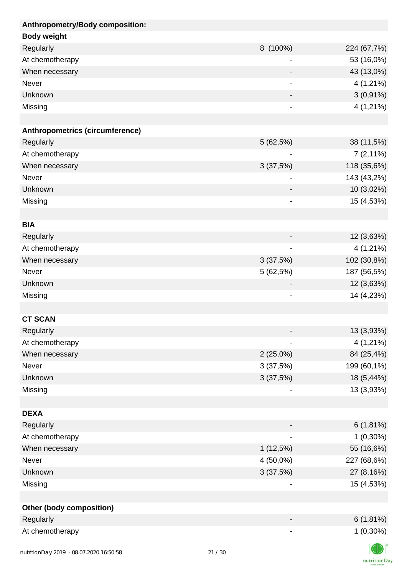| Anthropometry/Body composition: |                              |             |
|---------------------------------|------------------------------|-------------|
| <b>Body weight</b>              |                              |             |
| Regularly                       | 8 (100%)                     | 224 (67,7%) |
| At chemotherapy                 |                              | 53 (16,0%)  |
| When necessary                  |                              | 43 (13,0%)  |
| Never                           | -                            | $4(1,21\%)$ |
| Unknown                         | -                            | $3(0,91\%)$ |
| Missing                         |                              | $4(1,21\%)$ |
|                                 |                              |             |
| Anthropometrics (circumference) |                              |             |
| Regularly                       | 5(62,5%)                     | 38 (11,5%)  |
| At chemotherapy                 | $\qquad \qquad \blacksquare$ | $7(2,11\%)$ |
| When necessary                  | 3(37,5%)                     | 118 (35,6%) |
| <b>Never</b>                    | -                            | 143 (43,2%) |
| Unknown                         |                              | 10 (3,02%)  |
| Missing                         | -                            | 15 (4,53%)  |
|                                 |                              |             |
| <b>BIA</b>                      |                              |             |
| Regularly                       |                              | 12 (3,63%)  |
| At chemotherapy                 | $\qquad \qquad \blacksquare$ | 4 (1,21%)   |
| When necessary                  | 3(37,5%)                     | 102 (30,8%) |
| Never                           | 5 (62,5%)                    | 187 (56,5%) |
| Unknown                         | $\overline{\phantom{a}}$     | 12 (3,63%)  |
| Missing                         |                              | 14 (4,23%)  |
|                                 |                              |             |
| <b>CT SCAN</b>                  |                              |             |
| Regularly                       |                              | 13 (3,93%)  |
| At chemotherapy                 | -                            | 4 (1,21%)   |
| When necessary                  | 2(25,0%)                     | 84 (25,4%)  |
| Never                           | 3(37,5%)                     | 199 (60,1%) |
| Unknown                         | 3(37,5%)                     | 18 (5,44%)  |
| Missing                         |                              | 13 (3,93%)  |
|                                 |                              |             |
| <b>DEXA</b>                     |                              |             |
| Regularly                       |                              | $6(1,81\%)$ |
| At chemotherapy                 | $\overline{\phantom{0}}$     | $1(0,30\%)$ |
| When necessary                  | $1(12,5\%)$                  | 55 (16,6%)  |
| Never                           | 4 (50,0%)                    | 227 (68,6%) |
| Unknown                         | 3(37,5%)                     | 27 (8,16%)  |
| Missing                         |                              | 15 (4,53%)  |
|                                 |                              |             |
| <b>Other (body composition)</b> |                              |             |
| Regularly                       |                              | $6(1,81\%)$ |
| At chemotherapy                 | -                            | $1(0,30\%)$ |
|                                 |                              | $\sqrt{2}$  |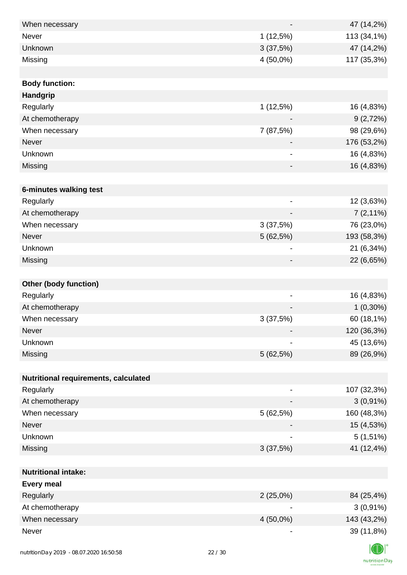| When necessary                          |                              | 47 (14,2%)                             |
|-----------------------------------------|------------------------------|----------------------------------------|
| Never                                   | 1(12,5%)                     | 113 (34,1%)                            |
| Unknown                                 | 3(37,5%)                     | 47 (14,2%)                             |
| Missing                                 | 4 (50,0%)                    | 117 (35,3%)                            |
|                                         |                              |                                        |
| <b>Body function:</b>                   |                              |                                        |
| Handgrip                                |                              |                                        |
| Regularly                               | 1(12,5%)                     | 16 (4,83%)                             |
| At chemotherapy                         |                              | 9(2,72%)                               |
| When necessary                          | 7 (87,5%)                    | 98 (29,6%)                             |
| Never                                   |                              | 176 (53,2%)                            |
| Unknown                                 |                              | 16 (4,83%)<br>$\overline{\phantom{a}}$ |
| Missing                                 | $\overline{\phantom{a}}$     | 16 (4,83%)                             |
|                                         |                              |                                        |
| 6-minutes walking test                  |                              |                                        |
| Regularly                               | $\overline{\phantom{0}}$     | 12 (3,63%)                             |
| At chemotherapy                         |                              | $7(2,11\%)$                            |
| When necessary                          | 3(37,5%)                     | 76 (23,0%)                             |
| Never                                   | 5 (62,5%)                    | 193 (58,3%)                            |
| Unknown                                 | $\qquad \qquad \blacksquare$ | 21 (6,34%)                             |
| Missing                                 |                              | 22 (6,65%)                             |
|                                         |                              |                                        |
| Other (body function)                   |                              |                                        |
| Regularly                               | $\overline{\phantom{a}}$     | 16 (4,83%)                             |
| At chemotherapy                         |                              | $1(0,30\%)$                            |
| When necessary                          | 3(37,5%)                     | 60 (18,1%)                             |
| Never                                   |                              | 120 (36,3%)                            |
| Unknown                                 | $\qquad \qquad \blacksquare$ | 45 (13,6%)                             |
| Missing                                 | 5(62,5%)                     | 89 (26,9%)                             |
|                                         |                              |                                        |
| Nutritional requirements, calculated    |                              |                                        |
| Regularly                               |                              | 107 (32,3%)                            |
| At chemotherapy                         |                              | $3(0,91\%)$                            |
| When necessary                          | 5(62,5%)                     | 160 (48,3%)                            |
| Never                                   |                              | 15 (4,53%)                             |
| Unknown                                 |                              | $5(1,51\%)$                            |
| Missing                                 | 3(37,5%)                     | 41 (12,4%)                             |
|                                         |                              |                                        |
| <b>Nutritional intake:</b>              |                              |                                        |
| <b>Every meal</b>                       |                              |                                        |
| Regularly                               | 2(25,0%)                     | 84 (25,4%)                             |
| At chemotherapy                         |                              | $3(0,91\%)$                            |
| When necessary                          | 4 (50,0%)                    | 143 (43,2%)                            |
| Never                                   | $\overline{\phantom{0}}$     | 39 (11,8%)                             |
|                                         |                              |                                        |
| putrition Dove 2010 08:07:2020 14:50:59 | 22/20                        |                                        |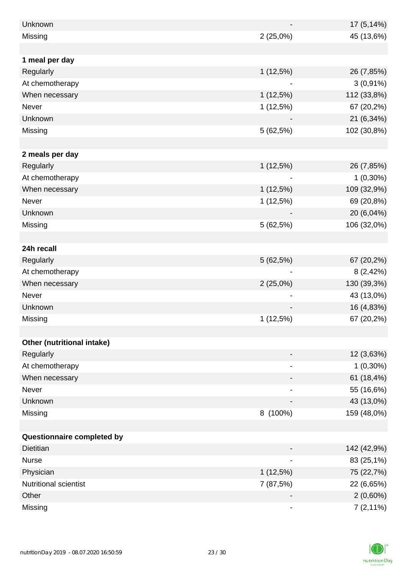| Unknown                    |             | 17 (5,14%)  |
|----------------------------|-------------|-------------|
| Missing                    | $2(25,0\%)$ | 45 (13,6%)  |
|                            |             |             |
| 1 meal per day             |             |             |
| Regularly                  | $1(12,5\%)$ | 26 (7,85%)  |
| At chemotherapy            |             | $3(0,91\%)$ |
| When necessary             | $1(12,5\%)$ | 112 (33,8%) |
| Never                      | 1(12,5%)    | 67 (20,2%)  |
| Unknown                    |             | 21 (6,34%)  |
| Missing                    | 5 (62,5%)   | 102 (30,8%) |
|                            |             |             |
| 2 meals per day            |             |             |
| Regularly                  | 1(12,5%)    | 26 (7,85%)  |
| At chemotherapy            |             | $1(0,30\%)$ |
| When necessary             | $1(12,5\%)$ | 109 (32,9%) |
| Never                      | $1(12,5\%)$ | 69 (20,8%)  |
| Unknown                    |             | 20 (6,04%)  |
| Missing                    | 5(62,5%)    | 106 (32,0%) |
|                            |             |             |
| 24h recall                 |             |             |
| Regularly                  | $5(62,5\%)$ | 67 (20,2%)  |
| At chemotherapy            |             | 8(2,42%)    |
| When necessary             | 2(25,0%)    | 130 (39,3%) |
| Never                      |             | 43 (13,0%)  |
| Unknown                    |             | 16 (4,83%)  |
| Missing                    | 1(12,5%)    | 67 (20,2%)  |
|                            |             |             |
| Other (nutritional intake) |             |             |
| Regularly                  |             | 12 (3,63%)  |
| At chemotherapy            |             | $1(0,30\%)$ |
| When necessary             |             | 61 (18,4%)  |
| Never                      |             | 55 (16,6%)  |
| Unknown                    |             | 43 (13,0%)  |
| Missing                    | 8 (100%)    | 159 (48,0%) |
|                            |             |             |
| Questionnaire completed by |             |             |
| <b>Dietitian</b>           |             | 142 (42,9%) |
| <b>Nurse</b>               |             | 83 (25,1%)  |
| Physician                  | $1(12,5\%)$ | 75 (22,7%)  |
| Nutritional scientist      | 7 (87,5%)   | 22 (6,65%)  |
| Other                      |             | $2(0,60\%)$ |
| Missing                    | -           | $7(2,11\%)$ |

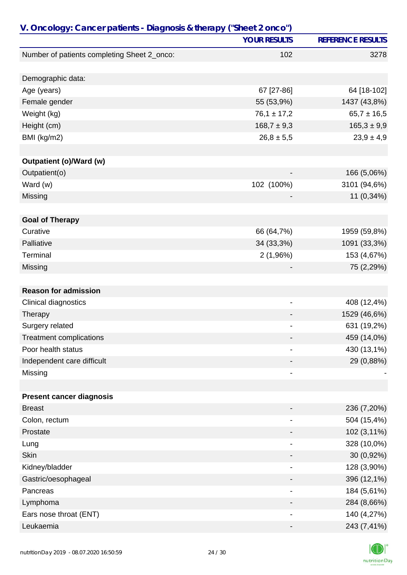| V. Oncology: Cancer patients - Diagnosis & therapy ("Sheet 2 onco") |                              |                          |
|---------------------------------------------------------------------|------------------------------|--------------------------|
|                                                                     | <b>YOUR RESULTS</b>          | <b>REFERENCE RESULTS</b> |
| Number of patients completing Sheet 2_onco:                         | 102                          | 3278                     |
|                                                                     |                              |                          |
| Demographic data:                                                   |                              |                          |
| Age (years)                                                         | 67 [27-86]                   | 64 [18-102]              |
| Female gender                                                       | 55 (53,9%)                   | 1437 (43,8%)             |
| Weight (kg)                                                         | $76,1 \pm 17,2$              | $65,7 \pm 16,5$          |
| Height (cm)                                                         | $168,7 \pm 9,3$              | $165,3 \pm 9,9$          |
| BMI (kg/m2)                                                         | $26,8 \pm 5,5$               | $23,9 \pm 4,9$           |
|                                                                     |                              |                          |
| Outpatient (o)/Ward (w)                                             |                              |                          |
| Outpatient(o)                                                       | $\qquad \qquad \blacksquare$ | 166 (5,06%)              |
| Ward (w)                                                            | 102 (100%)                   | 3101 (94,6%)             |
| Missing                                                             |                              | 11 (0,34%)               |
| <b>Goal of Therapy</b>                                              |                              |                          |
| Curative                                                            | 66 (64,7%)                   | 1959 (59,8%)             |
| Palliative                                                          | 34 (33,3%)                   | 1091 (33,3%)             |
| Terminal                                                            | 2(1,96%)                     | 153 (4,67%)              |
| Missing                                                             |                              | 75 (2,29%)               |
|                                                                     |                              |                          |
| <b>Reason for admission</b>                                         |                              |                          |
| Clinical diagnostics                                                | -                            | 408 (12,4%)              |
| Therapy                                                             |                              | 1529 (46,6%)             |
| Surgery related                                                     |                              | 631 (19,2%)              |
| <b>Treatment complications</b>                                      |                              | 459 (14,0%)              |
| Poor health status                                                  |                              | 430 (13,1%)              |
| Independent care difficult                                          |                              | 29 (0,88%)               |
| Missing                                                             | -                            |                          |
|                                                                     |                              |                          |
| <b>Present cancer diagnosis</b>                                     |                              |                          |
| <b>Breast</b>                                                       |                              | 236 (7,20%)              |
| Colon, rectum                                                       |                              | 504 (15,4%)              |
| Prostate                                                            |                              | 102 (3,11%)              |
| Lung                                                                |                              | 328 (10,0%)              |
| <b>Skin</b>                                                         |                              | 30 (0,92%)               |
| Kidney/bladder                                                      | -                            | 128 (3,90%)              |
| Gastric/oesophageal                                                 |                              | 396 (12,1%)              |
| Pancreas                                                            |                              | 184 (5,61%)              |
| Lymphoma                                                            |                              | 284 (8,66%)              |
| Ears nose throat (ENT)                                              |                              | 140 (4,27%)              |
| Leukaemia                                                           |                              | 243 (7,41%)              |

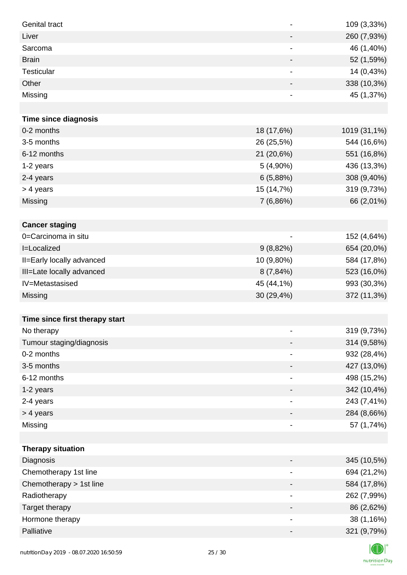| <b>Genital tract</b>           | $\qquad \qquad \blacksquare$ | 109 (3,33%)  |
|--------------------------------|------------------------------|--------------|
| Liver                          | $\overline{\phantom{a}}$     | 260 (7,93%)  |
| Sarcoma                        | $\qquad \qquad \blacksquare$ | 46 (1,40%)   |
| <b>Brain</b>                   | $\overline{\phantom{a}}$     | 52 (1,59%)   |
| Testicular                     | $\overline{\phantom{a}}$     | 14 (0,43%)   |
| Other                          |                              | 338 (10,3%)  |
| Missing                        | $\qquad \qquad \blacksquare$ | 45 (1,37%)   |
|                                |                              |              |
| <b>Time since diagnosis</b>    |                              |              |
| 0-2 months                     | 18 (17,6%)                   | 1019 (31,1%) |
| 3-5 months                     | 26 (25,5%)                   | 544 (16,6%)  |
| 6-12 months                    | 21 (20,6%)                   | 551 (16,8%)  |
| 1-2 years                      | $5(4,90\%)$                  | 436 (13,3%)  |
| 2-4 years                      | 6(5,88%)                     | 308 (9,40%)  |
| > 4 years                      | 15 (14,7%)                   | 319 (9,73%)  |
| Missing                        | 7(6,86%)                     | 66 (2,01%)   |
|                                |                              |              |
| <b>Cancer staging</b>          |                              |              |
| 0=Carcinoma in situ            |                              | 152 (4,64%)  |
| I=Localized                    | 9(8,82%)                     | 654 (20,0%)  |
| II=Early locally advanced      | 10 (9,80%)                   | 584 (17,8%)  |
| III=Late locally advanced      | 8(7,84%)                     | 523 (16,0%)  |
| IV=Metastasised                | 45 (44,1%)                   | 993 (30,3%)  |
| <b>Missing</b>                 | 30 (29,4%)                   | 372 (11,3%)  |
|                                |                              |              |
| Time since first therapy start |                              |              |
| No therapy                     |                              | 319 (9,73%)  |
| Tumour staging/diagnosis       |                              | 314 (9,58%)  |
| 0-2 months                     |                              | 932 (28,4%)  |
| 3-5 months                     |                              | 427 (13,0%)  |
| 6-12 months                    | -                            | 498 (15,2%)  |
| 1-2 years                      |                              | 342 (10,4%)  |
| 2-4 years                      | $\overline{\phantom{a}}$     | 243 (7,41%)  |
| > 4 years                      | -                            | 284 (8,66%)  |
| Missing                        | $\overline{\phantom{a}}$     | 57 (1,74%)   |
|                                |                              |              |
| <b>Therapy situation</b>       |                              |              |
| Diagnosis                      | -                            | 345 (10,5%)  |
| Chemotherapy 1st line          |                              | 694 (21,2%)  |
| Chemotherapy > 1st line        |                              | 584 (17,8%)  |
| Radiotherapy                   | $\overline{\phantom{a}}$     | 262 (7,99%)  |
| Target therapy                 | -                            | 86 (2,62%)   |
| Hormone therapy                | $\overline{\phantom{a}}$     | 38 (1,16%)   |
| Palliative                     |                              | 321 (9,79%)  |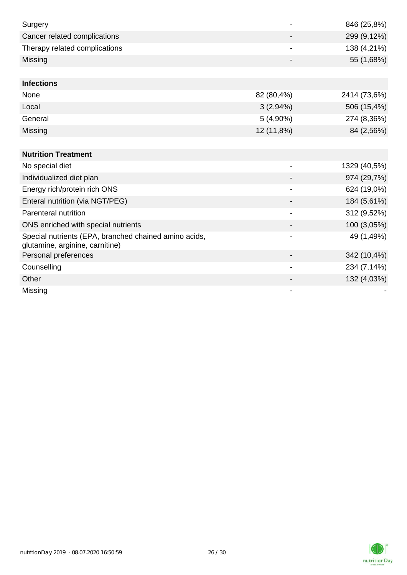| Surgery                                                                                  |                          | 846 (25,8%)  |
|------------------------------------------------------------------------------------------|--------------------------|--------------|
| Cancer related complications                                                             |                          | 299 (9,12%)  |
| Therapy related complications                                                            |                          | 138 (4,21%)  |
| Missing                                                                                  |                          | 55 (1,68%)   |
|                                                                                          |                          |              |
| <b>Infections</b>                                                                        |                          |              |
| None                                                                                     | 82 (80,4%)               | 2414 (73,6%) |
| Local                                                                                    | 3(2,94%)                 | 506 (15,4%)  |
| General                                                                                  | $5(4,90\%)$              | 274 (8,36%)  |
| Missing                                                                                  | 12 (11,8%)               | 84 (2,56%)   |
|                                                                                          |                          |              |
| <b>Nutrition Treatment</b>                                                               |                          |              |
| No special diet                                                                          |                          | 1329 (40,5%) |
| Individualized diet plan                                                                 |                          | 974 (29,7%)  |
| Energy rich/protein rich ONS                                                             | $\blacksquare$           | 624 (19,0%)  |
| Enteral nutrition (via NGT/PEG)                                                          |                          | 184 (5,61%)  |
| Parenteral nutrition                                                                     |                          | 312 (9,52%)  |
| ONS enriched with special nutrients                                                      |                          | 100 (3,05%)  |
| Special nutrients (EPA, branched chained amino acids,<br>glutamine, arginine, carnitine) |                          | 49 (1,49%)   |
| Personal preferences                                                                     |                          | 342 (10,4%)  |
| Counselling                                                                              | $\overline{\phantom{a}}$ | 234 (7,14%)  |
| Other                                                                                    |                          | 132 (4,03%)  |
| Missing                                                                                  |                          |              |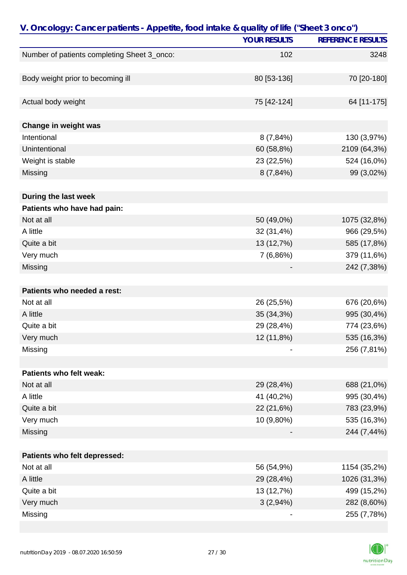| V. Oncology: Cancer patients - Appetite, food intake & quality of life ("Sheet 3 onco") |                     |                          |
|-----------------------------------------------------------------------------------------|---------------------|--------------------------|
|                                                                                         | <b>YOUR RESULTS</b> | <b>REFERENCE RESULTS</b> |
| Number of patients completing Sheet 3_onco:                                             | 102                 | 3248                     |
|                                                                                         |                     |                          |
| Body weight prior to becoming ill                                                       | 80 [53-136]         | 70 [20-180]              |
|                                                                                         |                     |                          |
| Actual body weight                                                                      | 75 [42-124]         | 64 [11-175]              |
|                                                                                         |                     |                          |
| Change in weight was                                                                    |                     |                          |
| Intentional                                                                             | $8(7,84\%)$         | 130 (3,97%)              |
| Unintentional                                                                           | 60 (58,8%)          | 2109 (64,3%)             |
| Weight is stable                                                                        | 23 (22,5%)          | 524 (16,0%)              |
| Missing                                                                                 | 8(7,84%)            | 99 (3,02%)               |
|                                                                                         |                     |                          |
| During the last week                                                                    |                     |                          |
| Patients who have had pain:                                                             |                     |                          |
| Not at all                                                                              | 50 (49,0%)          | 1075 (32,8%)             |
| A little                                                                                | 32 (31,4%)          | 966 (29,5%)              |
| Quite a bit                                                                             | 13 (12,7%)          | 585 (17,8%)              |
| Very much                                                                               | 7 (6,86%)           | 379 (11,6%)              |
| Missing                                                                                 |                     | 242 (7,38%)              |
|                                                                                         |                     |                          |
| Patients who needed a rest:                                                             |                     |                          |
| Not at all                                                                              | 26 (25,5%)          | 676 (20,6%)              |
| A little                                                                                | 35 (34,3%)          | 995 (30,4%)              |
| Quite a bit                                                                             | 29 (28,4%)          | 774 (23,6%)              |
| Very much                                                                               | 12 (11,8%)          | 535 (16,3%)              |
| Missing                                                                                 |                     | 256 (7,81%)              |
|                                                                                         |                     |                          |
| Patients who felt weak:                                                                 |                     |                          |
| Not at all                                                                              | 29 (28,4%)          | 688 (21,0%)              |
| A little                                                                                | 41 (40,2%)          | 995 (30,4%)              |
| Quite a bit                                                                             | 22 (21,6%)          | 783 (23,9%)              |
| Very much                                                                               | 10 (9,80%)          | 535 (16,3%)              |
| Missing                                                                                 |                     | 244 (7,44%)              |
|                                                                                         |                     |                          |
| Patients who felt depressed:                                                            |                     |                          |
| Not at all                                                                              | 56 (54,9%)          | 1154 (35,2%)             |
| A little                                                                                | 29 (28,4%)          | 1026 (31,3%)             |
| Quite a bit                                                                             | 13 (12,7%)          | 499 (15,2%)              |
| Very much                                                                               | 3(2,94%)            | 282 (8,60%)              |
| Missing                                                                                 |                     | 255 (7,78%)              |

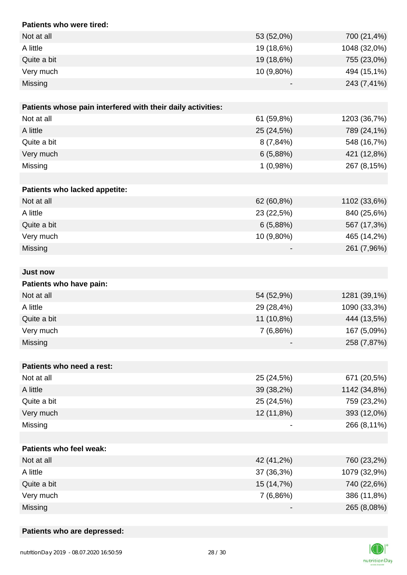| Patients who were tired:                                    |            |              |
|-------------------------------------------------------------|------------|--------------|
| Not at all                                                  | 53 (52,0%) | 700 (21,4%)  |
| A little                                                    | 19 (18,6%) | 1048 (32,0%) |
| Quite a bit                                                 | 19 (18,6%) | 755 (23,0%)  |
| Very much                                                   | 10 (9,80%) | 494 (15,1%)  |
| Missing                                                     |            | 243 (7,41%)  |
|                                                             |            |              |
| Patients whose pain interfered with their daily activities: |            |              |
| Not at all                                                  | 61 (59,8%) | 1203 (36,7%) |
| A little                                                    | 25 (24,5%) | 789 (24,1%)  |
| Quite a bit                                                 | 8(7,84%)   | 548 (16,7%)  |
| Very much                                                   | 6(5,88%)   | 421 (12,8%)  |
| Missing                                                     | 1(0,98%)   | 267 (8,15%)  |
|                                                             |            |              |
| Patients who lacked appetite:                               |            |              |
| Not at all                                                  | 62 (60,8%) | 1102 (33,6%) |
| A little                                                    | 23 (22,5%) | 840 (25,6%)  |
| Quite a bit                                                 | 6(5,88%)   | 567 (17,3%)  |
| Very much                                                   | 10 (9,80%) | 465 (14,2%)  |
| Missing                                                     |            | 261 (7,96%)  |
|                                                             |            |              |
| <b>Just now</b>                                             |            |              |
| Patients who have pain:                                     |            |              |
| Not at all                                                  | 54 (52,9%) | 1281 (39,1%) |
| A little                                                    | 29 (28,4%) | 1090 (33,3%) |
| Quite a bit                                                 | 11 (10,8%) | 444 (13,5%)  |
| Very much                                                   | 7(6,86%)   | 167 (5,09%)  |
| Missing                                                     |            | 258 (7,87%)  |
|                                                             |            |              |
| Patients who need a rest:                                   |            |              |
| Not at all                                                  | 25 (24,5%) | 671 (20,5%)  |
| A little                                                    | 39 (38,2%) | 1142 (34,8%) |
| Quite a bit                                                 | 25 (24,5%) | 759 (23,2%)  |
| Very much                                                   | 12 (11,8%) | 393 (12,0%)  |
| Missing                                                     |            | 266 (8,11%)  |
|                                                             |            |              |
| <b>Patients who feel weak:</b>                              |            |              |
| Not at all                                                  | 42 (41,2%) | 760 (23,2%)  |
| A little                                                    | 37 (36,3%) | 1079 (32,9%) |
| Quite a bit                                                 | 15 (14,7%) | 740 (22,6%)  |
| Very much                                                   | 7 (6,86%)  | 386 (11,8%)  |
| Missing                                                     |            | 265 (8,08%)  |

## **Patients who are depressed:**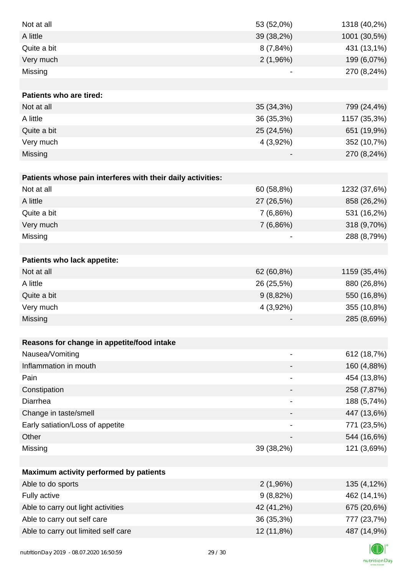| Not at all                                                  | 53 (52,0%)                   | 1318 (40,2%) |
|-------------------------------------------------------------|------------------------------|--------------|
| A little                                                    | 39 (38,2%)                   | 1001 (30,5%) |
| Quite a bit                                                 | $8(7,84\%)$                  | 431 (13,1%)  |
| Very much                                                   | 2(1,96%)                     | 199 (6,07%)  |
| Missing                                                     |                              | 270 (8,24%)  |
|                                                             |                              |              |
| <b>Patients who are tired:</b>                              |                              |              |
| Not at all                                                  | 35 (34,3%)                   | 799 (24,4%)  |
| A little                                                    | 36 (35,3%)                   | 1157 (35,3%) |
| Quite a bit                                                 | 25 (24,5%)                   | 651 (19,9%)  |
| Very much                                                   | 4 (3,92%)                    | 352 (10,7%)  |
| Missing                                                     |                              | 270 (8,24%)  |
|                                                             |                              |              |
| Patients whose pain interferes with their daily activities: |                              |              |
| Not at all                                                  | 60 (58,8%)                   | 1232 (37,6%) |
| A little                                                    | 27 (26,5%)                   | 858 (26,2%)  |
| Quite a bit                                                 | 7(6,86%)                     | 531 (16,2%)  |
| Very much                                                   | 7(6,86%)                     | 318 (9,70%)  |
| Missing                                                     |                              | 288 (8,79%)  |
|                                                             |                              |              |
| Patients who lack appetite:                                 |                              |              |
| Not at all                                                  | 62 (60,8%)                   | 1159 (35,4%) |
| A little                                                    | 26 (25,5%)                   | 880 (26,8%)  |
| Quite a bit                                                 | 9(8,82%)                     | 550 (16,8%)  |
| Very much                                                   | 4 (3,92%)                    | 355 (10,8%)  |
| Missing                                                     |                              | 285 (8,69%)  |
|                                                             |                              |              |
| Reasons for change in appetite/food intake                  |                              |              |
| Nausea/Vomiting                                             | $\qquad \qquad \blacksquare$ | 612 (18,7%)  |
| Inflammation in mouth                                       |                              | 160 (4,88%)  |
| Pain                                                        | $\qquad \qquad \blacksquare$ | 454 (13,8%)  |
| Constipation                                                |                              | 258 (7,87%)  |
| Diarrhea                                                    |                              | 188 (5,74%)  |
| Change in taste/smell                                       |                              | 447 (13,6%)  |
| Early satiation/Loss of appetite                            |                              | 771 (23,5%)  |
| Other                                                       |                              | 544 (16,6%)  |
| Missing                                                     | 39 (38,2%)                   | 121 (3,69%)  |
|                                                             |                              |              |
| Maximum activity performed by patients                      |                              |              |
| Able to do sports                                           | 2(1,96%)                     | 135 (4,12%)  |
| Fully active                                                | 9(8,82%)                     | 462 (14,1%)  |
| Able to carry out light activities                          | 42 (41,2%)                   | 675 (20,6%)  |
| Able to carry out self care                                 | 36 (35,3%)                   | 777 (23,7%)  |
| Able to carry out limited self care                         | 12 (11,8%)                   | 487 (14,9%)  |
|                                                             |                              |              |